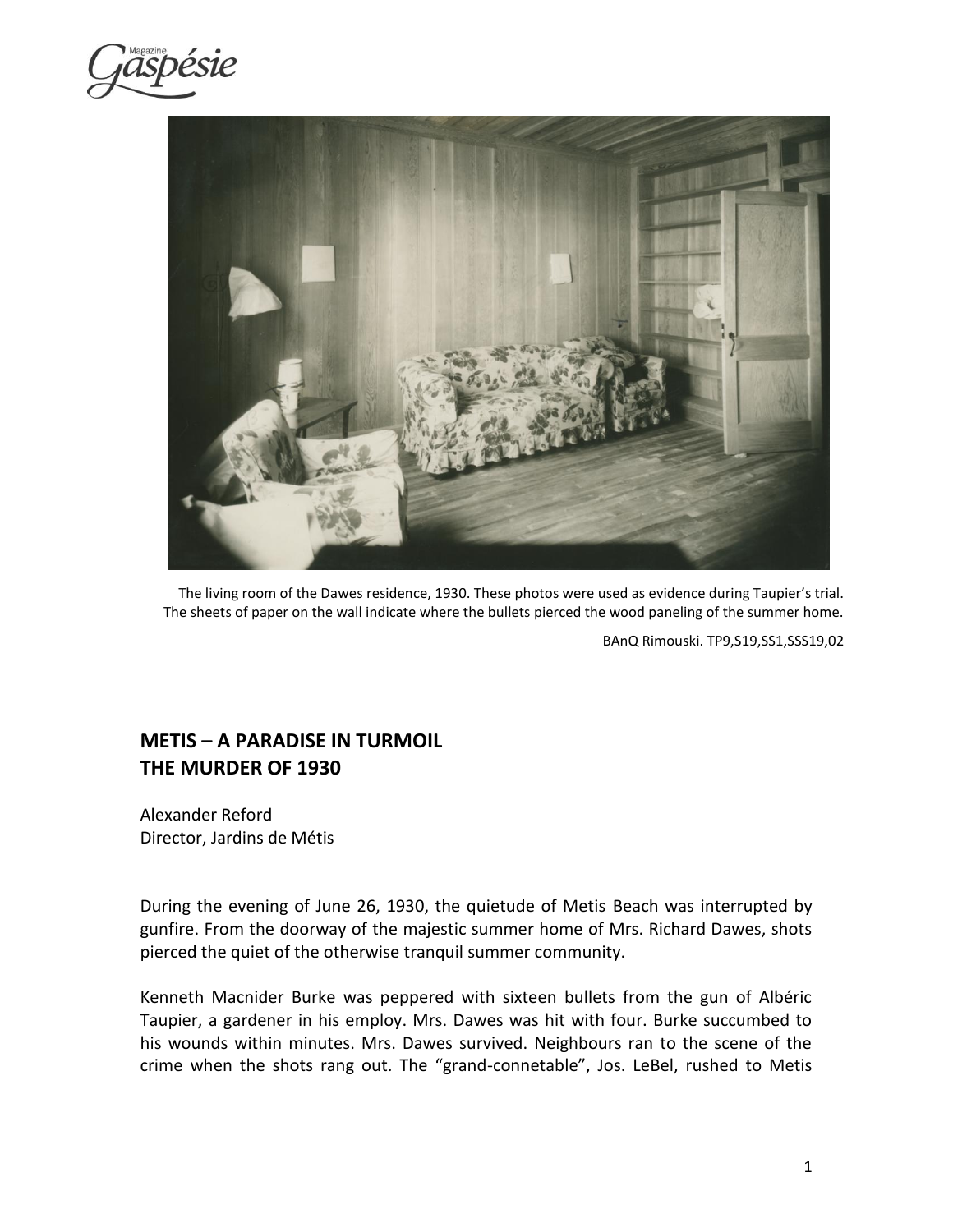ispésie



The living room of the Dawes residence, 1930. These photos were used as evidence during Taupier's trial. The sheets of paper on the wall indicate where the bullets pierced the wood paneling of the summer home.

BAnQ Rimouski. TP9,S19,SS1,SSS19,02

# **METIS – A PARADISE IN TURMOIL THE MURDER OF 1930**

Alexander Reford Director, Jardins de Métis

During the evening of June 26, 1930, the quietude of Metis Beach was interrupted by gunfire. From the doorway of the majestic summer home of Mrs. Richard Dawes, shots pierced the quiet of the otherwise tranquil summer community.

Kenneth Macnider Burke was peppered with sixteen bullets from the gun of Albéric Taupier, a gardener in his employ. Mrs. Dawes was hit with four. Burke succumbed to his wounds within minutes. Mrs. Dawes survived. Neighbours ran to the scene of the crime when the shots rang out. The "grand-connetable", Jos. LeBel, rushed to Metis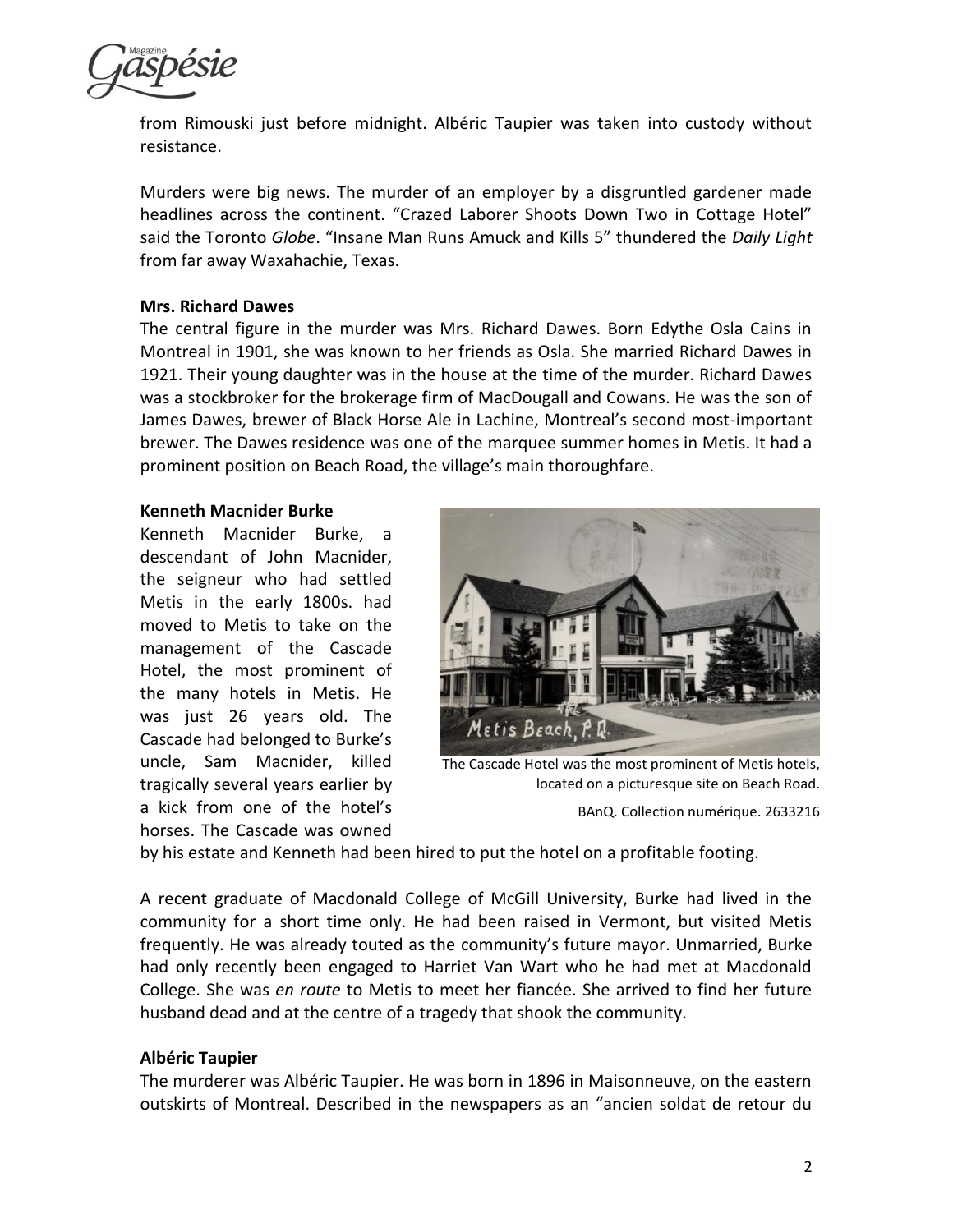

from Rimouski just before midnight. Albéric Taupier was taken into custody without resistance.

Murders were big news. The murder of an employer by a disgruntled gardener made headlines across the continent. "Crazed Laborer Shoots Down Two in Cottage Hotel" said the Toronto *Globe*. "Insane Man Runs Amuck and Kills 5" thundered the *Daily Light* from far away Waxahachie, Texas.

## **Mrs. Richard Dawes**

The central figure in the murder was Mrs. Richard Dawes. Born Edythe Osla Cains in Montreal in 1901, she was known to her friends as Osla. She married Richard Dawes in 1921. Their young daughter was in the house at the time of the murder. Richard Dawes was a stockbroker for the brokerage firm of MacDougall and Cowans. He was the son of James Dawes, brewer of Black Horse Ale in Lachine, Montreal's second most-important brewer. The Dawes residence was one of the marquee summer homes in Metis. It had a prominent position on Beach Road, the village's main thoroughfare.

### **Kenneth Macnider Burke**

Kenneth Macnider Burke, a descendant of John Macnider, the seigneur who had settled Metis in the early 1800s. had moved to Metis to take on the management of the Cascade Hotel, the most prominent of the many hotels in Metis. He was just 26 years old. The Cascade had belonged to Burke's uncle, Sam Macnider, killed tragically several years earlier by a kick from one of the hotel's horses. The Cascade was owned



The Cascade Hotel was the most prominent of Metis hotels, located on a picturesque site on Beach Road.

BAnQ. Collection numérique. 2633216

by his estate and Kenneth had been hired to put the hotel on a profitable footing.

A recent graduate of Macdonald College of McGill University, Burke had lived in the community for a short time only. He had been raised in Vermont, but visited Metis frequently. He was already touted as the community's future mayor. Unmarried, Burke had only recently been engaged to Harriet Van Wart who he had met at Macdonald College. She was *en route* to Metis to meet her fiancée. She arrived to find her future husband dead and at the centre of a tragedy that shook the community.

### **Albéric Taupier**

The murderer was Albéric Taupier. He was born in 1896 in Maisonneuve, on the eastern outskirts of Montreal. Described in the newspapers as an "ancien soldat de retour du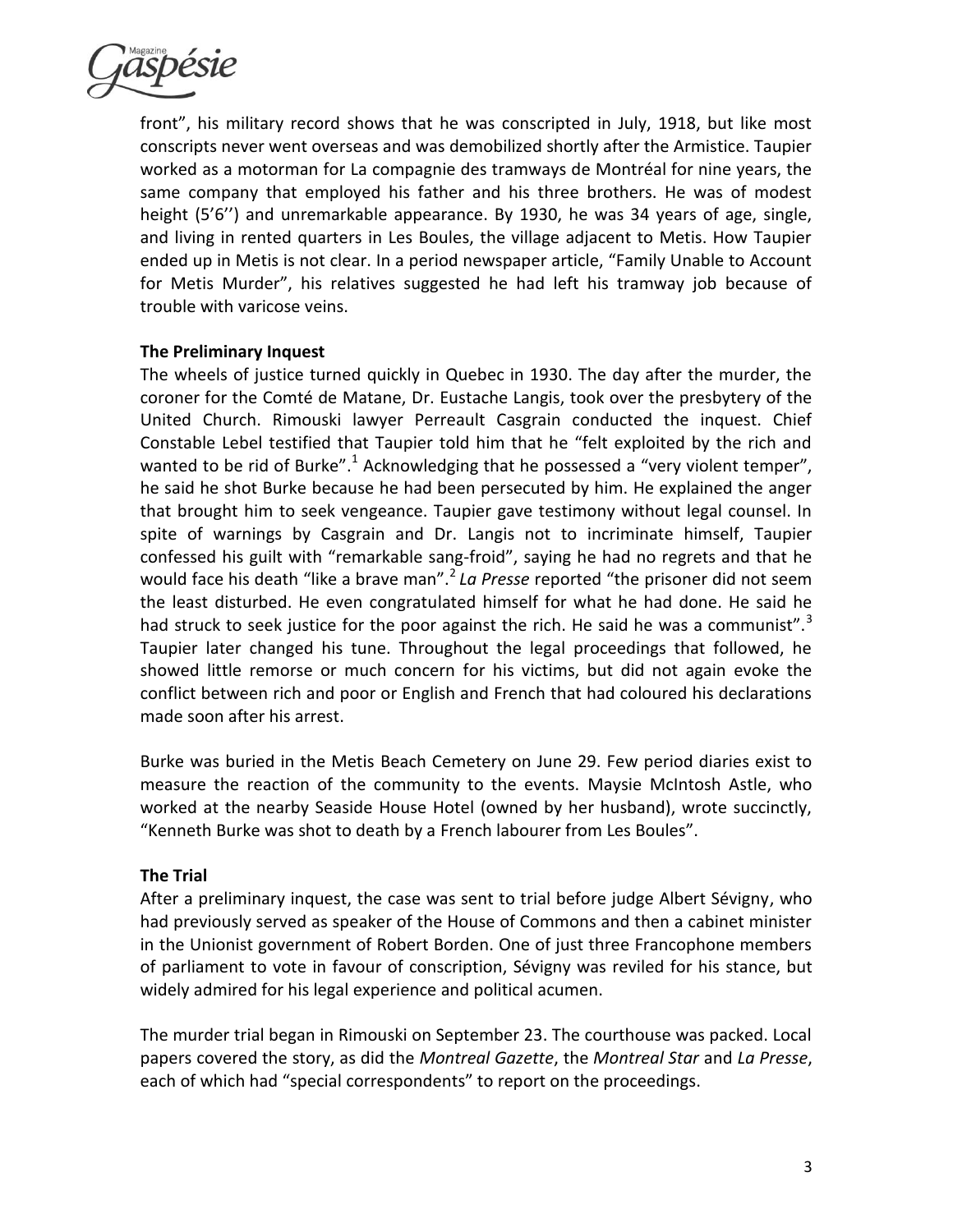

front", his military record shows that he was conscripted in July, 1918, but like most conscripts never went overseas and was demobilized shortly after the Armistice. Taupier worked as a motorman for La compagnie des tramways de Montréal for nine years, the same company that employed his father and his three brothers. He was of modest height (5'6'') and unremarkable appearance. By 1930, he was 34 years of age, single, and living in rented quarters in Les Boules, the village adjacent to Metis. How Taupier ended up in Metis is not clear. In a period newspaper article, "Family Unable to Account for Metis Murder", his relatives suggested he had left his tramway job because of trouble with varicose veins.

# **The Preliminary Inquest**

The wheels of justice turned quickly in Quebec in 1930. The day after the murder, the coroner for the Comté de Matane, Dr. Eustache Langis, took over the presbytery of the United Church. Rimouski lawyer Perreault Casgrain conducted the inquest. Chief Constable Lebel testified that Taupier told him that he "felt exploited by the rich and wanted to be rid of Burke".<sup>1</sup> Acknowledging that he possessed a "very violent temper", he said he shot Burke because he had been persecuted by him. He explained the anger that brought him to seek vengeance. Taupier gave testimony without legal counsel. In spite of warnings by Casgrain and Dr. Langis not to incriminate himself, Taupier confessed his guilt with "remarkable sang-froid", saying he had no regrets and that he would face his death "like a brave man".<sup>2</sup> La Presse reported "the prisoner did not seem the least disturbed. He even congratulated himself for what he had done. He said he had struck to seek justice for the poor against the rich. He said he was a communist".<sup>3</sup> Taupier later changed his tune. Throughout the legal proceedings that followed, he showed little remorse or much concern for his victims, but did not again evoke the conflict between rich and poor or English and French that had coloured his declarations made soon after his arrest.

Burke was buried in the Metis Beach Cemetery on June 29. Few period diaries exist to measure the reaction of the community to the events. Maysie McIntosh Astle, who worked at the nearby Seaside House Hotel (owned by her husband), wrote succinctly, "Kenneth Burke was shot to death by a French labourer from Les Boules".

# **The Trial**

After a preliminary inquest, the case was sent to trial before judge Albert Sévigny, who had previously served as speaker of the House of Commons and then a cabinet minister in the Unionist government of Robert Borden. One of just three Francophone members of parliament to vote in favour of conscription, Sévigny was reviled for his stance, but widely admired for his legal experience and political acumen.

The murder trial began in Rimouski on September 23. The courthouse was packed. Local papers covered the story, as did the *Montreal Gazette*, the *Montreal Star* and *La Presse*, each of which had "special correspondents" to report on the proceedings.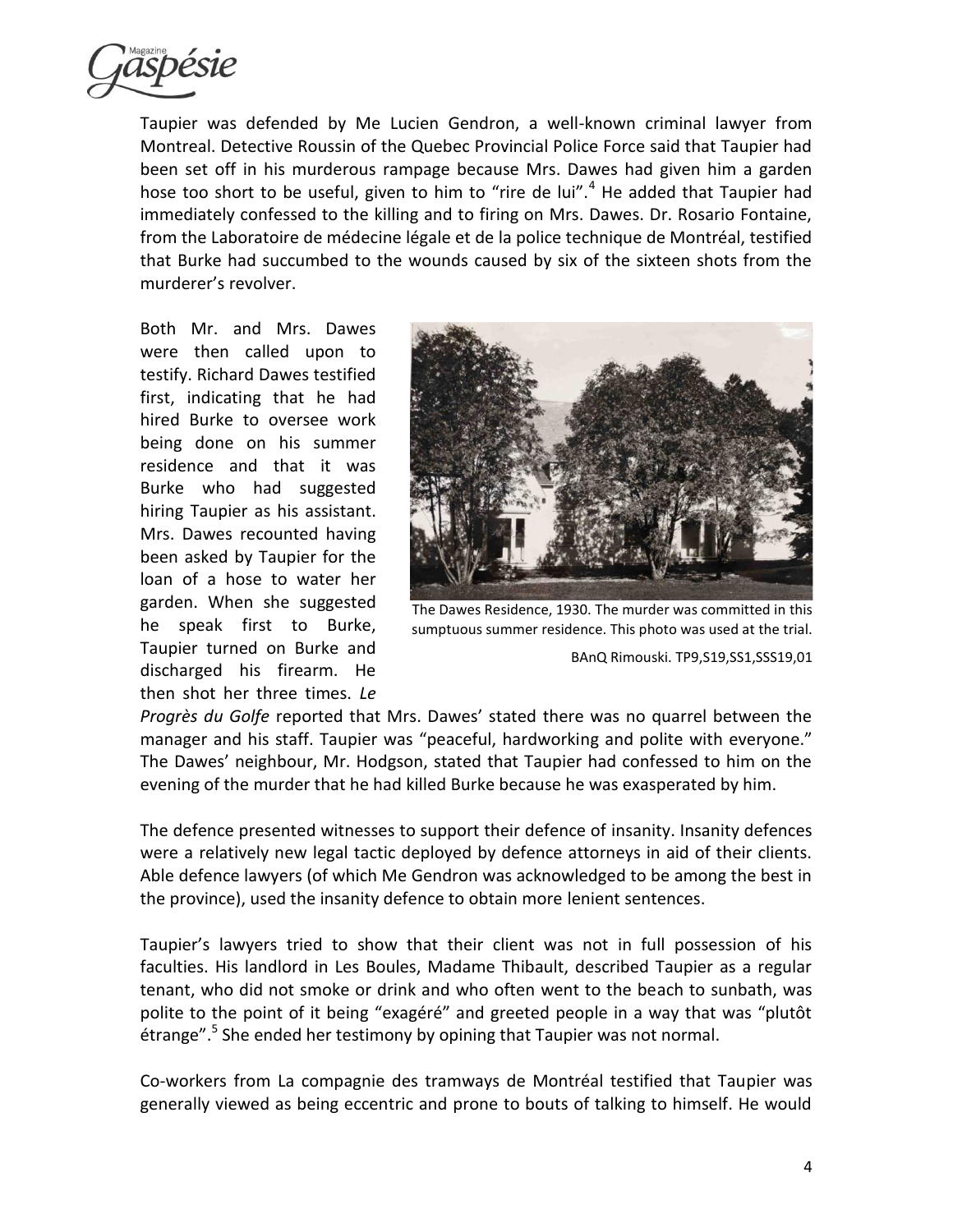

Taupier was defended by Me Lucien Gendron, a well-known criminal lawyer from Montreal. Detective Roussin of the Quebec Provincial Police Force said that Taupier had been set off in his murderous rampage because Mrs. Dawes had given him a garden hose too short to be useful, given to him to "rire de lui".<sup>4</sup> He added that Taupier had immediately confessed to the killing and to firing on Mrs. Dawes. Dr. Rosario Fontaine, from the Laboratoire de médecine légale et de la police technique de Montréal, testified that Burke had succumbed to the wounds caused by six of the sixteen shots from the murderer's revolver.

Both Mr. and Mrs. Dawes were then called upon to testify. Richard Dawes testified first, indicating that he had hired Burke to oversee work being done on his summer residence and that it was Burke who had suggested hiring Taupier as his assistant. Mrs. Dawes recounted having been asked by Taupier for the loan of a hose to water her garden. When she suggested he speak first to Burke, Taupier turned on Burke and discharged his firearm. He then shot her three times. *Le* 



The Dawes Residence, 1930. The murder was committed in this sumptuous summer residence. This photo was used at the trial.

BAnQ Rimouski. TP9,S19,SS1,SSS19,01

*Progrès du Golfe* reported that Mrs. Dawes' stated there was no quarrel between the manager and his staff. Taupier was "peaceful, hardworking and polite with everyone." The Dawes' neighbour, Mr. Hodgson, stated that Taupier had confessed to him on the evening of the murder that he had killed Burke because he was exasperated by him.

The defence presented witnesses to support their defence of insanity. Insanity defences were a relatively new legal tactic deployed by defence attorneys in aid of their clients. Able defence lawyers (of which Me Gendron was acknowledged to be among the best in the province), used the insanity defence to obtain more lenient sentences.

Taupier's lawyers tried to show that their client was not in full possession of his faculties. His landlord in Les Boules, Madame Thibault, described Taupier as a regular tenant, who did not smoke or drink and who often went to the beach to sunbath, was polite to the point of it being "exagéré" and greeted people in a way that was "plutôt étrange".<sup>5</sup> She ended her testimony by opining that Taupier was not normal.

Co-workers from La compagnie des tramways de Montréal testified that Taupier was generally viewed as being eccentric and prone to bouts of talking to himself. He would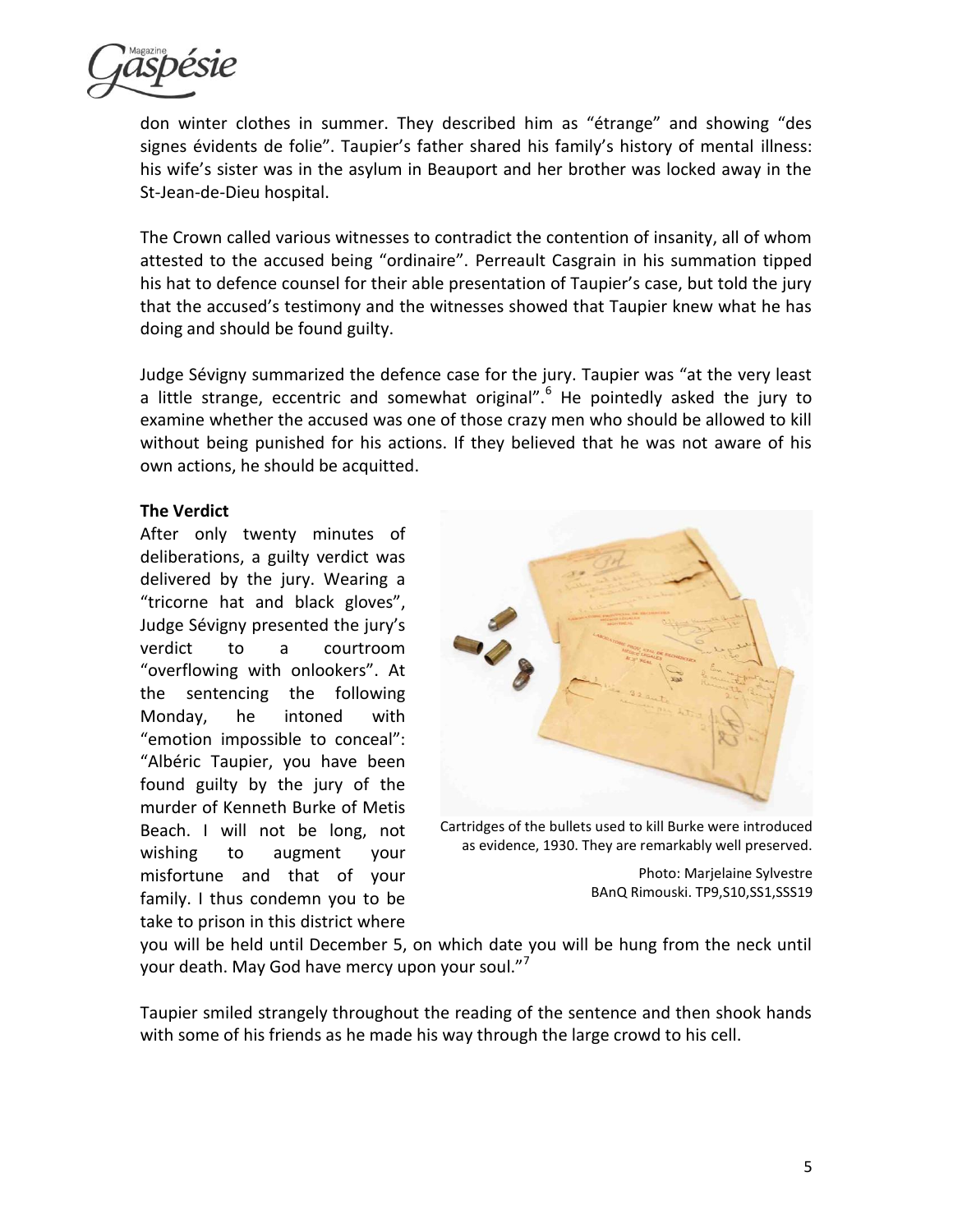

don winter clothes in summer. They described him as "étrange" and showing "des signes évidents de folie". Taupier's father shared his family's history of mental illness: his wife's sister was in the asylum in Beauport and her brother was locked away in the St-Jean-de-Dieu hospital.

The Crown called various witnesses to contradict the contention of insanity, all of whom attested to the accused being "ordinaire". Perreault Casgrain in his summation tipped his hat to defence counsel for their able presentation of Taupier's case, but told the jury that the accused's testimony and the witnesses showed that Taupier knew what he has doing and should be found guilty.

Judge Sévigny summarized the defence case for the jury. Taupier was "at the very least a little strange, eccentric and somewhat original".<sup>6</sup> He pointedly asked the jury to examine whether the accused was one of those crazy men who should be allowed to kill without being punished for his actions. If they believed that he was not aware of his own actions, he should be acquitted.

# **The Verdict**

After only twenty minutes of deliberations, a guilty verdict was delivered by the jury. Wearing a "tricorne hat and black gloves", Judge Sévigny presented the jury's verdict to a courtroom "overflowing with onlookers". At the sentencing the following Monday, he intoned with "emotion impossible to conceal": "Albéric Taupier, you have been found guilty by the jury of the murder of Kenneth Burke of Metis Beach. I will not be long, not wishing to augment your misfortune and that of your family. I thus condemn you to be take to prison in this district where



Cartridges of the bullets used to kill Burke were introduced as evidence, 1930. They are remarkably well preserved.

Photo: Marjelaine Sylvestre BAnQ Rimouski. TP9,S10,SS1,SSS19

you will be held until December 5, on which date you will be hung from the neck until your death. May God have mercy upon your soul."<sup>7</sup>

Taupier smiled strangely throughout the reading of the sentence and then shook hands with some of his friends as he made his way through the large crowd to his cell.